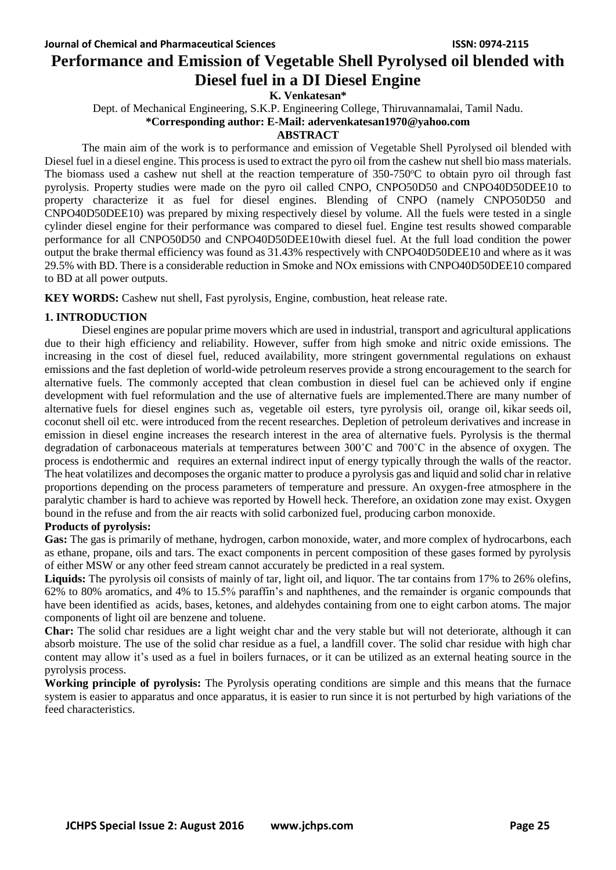# **Performance and Emission of Vegetable Shell Pyrolysed oil blended with Diesel fuel in a DI Diesel Engine**

**K. Venkatesan\***

Dept. of Mechanical Engineering, S.K.P. Engineering College, Thiruvannamalai, Tamil Nadu.

**\*Corresponding author: E-Mail: adervenkatesan1970@yahoo.com** 

# **ABSTRACT**

The main aim of the work is to performance and emission of Vegetable Shell Pyrolysed oil blended with Diesel fuel in a diesel engine. This process is used to extract the pyro oil from the cashew nut shell bio mass materials. The biomass used a cashew nut shell at the reaction temperature of  $350-750^{\circ}$ C to obtain pyro oil through fast pyrolysis. Property studies were made on the pyro oil called CNPO, CNPO50D50 and CNPO40D50DEE10 to property characterize it as fuel for diesel engines. Blending of CNPO (namely CNPO50D50 and CNPO40D50DEE10) was prepared by mixing respectively diesel by volume. All the fuels were tested in a single cylinder diesel engine for their performance was compared to diesel fuel. Engine test results showed comparable performance for all CNPO50D50 and CNPO40D50DEE10with diesel fuel. At the full load condition the power output the brake thermal efficiency was found as 31.43% respectively with CNPO40D50DEE10 and where as it was 29.5% with BD. There is a considerable reduction in Smoke and NOx emissions with CNPO40D50DEE10 compared to BD at all power outputs.

**KEY WORDS:** Cashew nut shell, Fast pyrolysis, Engine, combustion, heat release rate.

# **1. INTRODUCTION**

Diesel engines are popular prime movers which are used in industrial, transport and agricultural applications due to their high efficiency and reliability. However, suffer from high smoke and nitric oxide emissions. The increasing in the cost of diesel fuel, reduced availability, more stringent governmental regulations on exhaust emissions and the fast depletion of world-wide petroleum reserves provide a strong encouragement to the search for alternative fuels. The commonly accepted that clean combustion in diesel fuel can be achieved only if engine development with fuel reformulation and the use of alternative fuels are implemented.There are many number of alternative fuels for diesel engines such as, vegetable oil esters, tyre pyrolysis oil, orange oil, kikar seeds oil, coconut shell oil etc. were introduced from the recent researches. Depletion of petroleum derivatives and increase in emission in diesel engine increases the research interest in the area of alternative fuels. Pyrolysis is the thermal degradation of carbonaceous materials at temperatures between 300˚C and 700˚C in the absence of oxygen. The process is endothermic and requires an external indirect input of energy typically through the walls of the reactor. The heat volatilizes and decomposes the organic matter to produce a pyrolysis gas and liquid and solid char in relative proportions depending on the process parameters of temperature and pressure. An oxygen-free atmosphere in the paralytic chamber is hard to achieve was reported by Howell heck. Therefore, an oxidation zone may exist. Oxygen bound in the refuse and from the air reacts with solid carbonized fuel, producing carbon monoxide.

## **Products of pyrolysis:**

**Gas:** The gas is primarily of methane, hydrogen, carbon monoxide, water, and more complex of hydrocarbons, each as ethane, propane, oils and tars. The exact components in percent composition of these gases formed by pyrolysis of either MSW or any other feed stream cannot accurately be predicted in a real system.

Liquids: The pyrolysis oil consists of mainly of tar, light oil, and liquor. The tar contains from 17% to 26% olefins, 62% to 80% aromatics, and 4% to 15.5% paraffin's and naphthenes, and the remainder is organic compounds that have been identified as acids, bases, ketones, and aldehydes containing from one to eight carbon atoms. The major components of light oil are benzene and toluene.

**Char:** The solid char residues are a light weight char and the very stable but will not deteriorate, although it can absorb moisture. The use of the solid char residue as a fuel, a landfill cover. The solid char residue with high char content may allow it's used as a fuel in boilers furnaces, or it can be utilized as an external heating source in the pyrolysis process.

**Working principle of pyrolysis:** The Pyrolysis operating conditions are simple and this means that the furnace system is easier to apparatus and once apparatus, it is easier to run since it is not perturbed by high variations of the feed characteristics.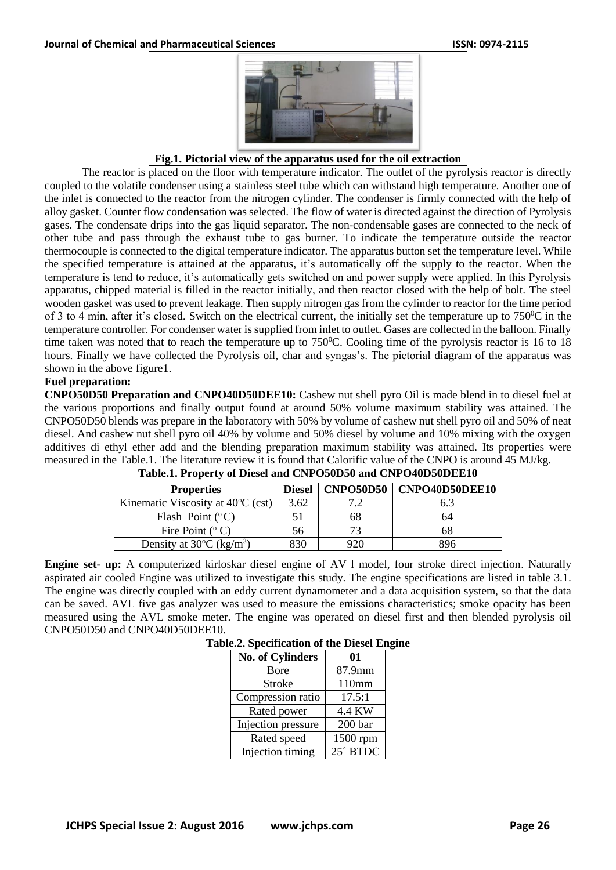

**Fig.1. Pictorial view of the apparatus used for the oil extraction**

The reactor is placed on the floor with temperature indicator. The outlet of the pyrolysis reactor is directly coupled to the volatile condenser using a stainless steel tube which can withstand high temperature. Another one of the inlet is connected to the reactor from the nitrogen cylinder. The condenser is firmly connected with the help of alloy gasket. Counter flow condensation was selected. The flow of water is directed against the direction of Pyrolysis gases. The condensate drips into the gas liquid separator. The non-condensable gases are connected to the neck of other tube and pass through the exhaust tube to gas burner. To indicate the temperature outside the reactor thermocouple is connected to the digital temperature indicator. The apparatus button set the temperature level. While the specified temperature is attained at the apparatus, it's automatically off the supply to the reactor. When the temperature is tend to reduce, it's automatically gets switched on and power supply were applied. In this Pyrolysis apparatus, chipped material is filled in the reactor initially, and then reactor closed with the help of bolt. The steel wooden gasket was used to prevent leakage. Then supply nitrogen gas from the cylinder to reactor for the time period of 3 to 4 min, after it's closed. Switch on the electrical current, the initially set the temperature up to  $750^{\circ}$ C in the temperature controller. For condenser water is supplied from inlet to outlet. Gases are collected in the balloon. Finally time taken was noted that to reach the temperature up to  $750^{\circ}$ C. Cooling time of the pyrolysis reactor is 16 to 18 hours. Finally we have collected the Pyrolysis oil, char and syngas's. The pictorial diagram of the apparatus was shown in the above figure1.

# **Fuel preparation:**

**CNPO50D50 Preparation and CNPO40D50DEE10:** Cashew nut shell pyro Oil is made blend in to diesel fuel at the various proportions and finally output found at around 50% volume maximum stability was attained. The CNPO50D50 blends was prepare in the laboratory with 50% by volume of cashew nut shell pyro oil and 50% of neat diesel. And cashew nut shell pyro oil 40% by volume and 50% diesel by volume and 10% mixing with the oxygen additives di ethyl ether add and the blending preparation maximum stability was attained. Its properties were measured in the Table.1. The literature review it is found that Calorific value of the CNPO is around 45 MJ/kg.

| <b>Properties</b>                              | <b>Diesel</b> | <b>CNPO50D50</b> | CNPO40D50DEE10 |
|------------------------------------------------|---------------|------------------|----------------|
| Kinematic Viscosity at $40^{\circ}$ C (cst)    | 3.62          |                  |                |
| Flash Point $(^{\circ}C)$                      |               |                  | n4             |
| Fire Point $(°\,C)$                            | 56            |                  | იგ             |
| Density at $30^{\circ}$ C (kg/m <sup>3</sup> ) | 830           |                  | ९९६            |

**Table.1. Property of Diesel and CNPO50D50 and CNPO40D50DEE10**

**Engine set- up:** A computerized kirloskar diesel engine of AV l model, four stroke direct injection. Naturally aspirated air cooled Engine was utilized to investigate this study. The engine specifications are listed in table 3.1. The engine was directly coupled with an eddy current dynamometer and a data acquisition system, so that the data can be saved. AVL five gas analyzer was used to measure the emissions characteristics; smoke opacity has been measured using the AVL smoke meter. The engine was operated on diesel first and then blended pyrolysis oil CNPO50D50 and CNPO40D50DEE10.

|--|

| No. of Cylinders   | 01       |
|--------------------|----------|
| <b>B</b> ore       | 87.9mm   |
| Stroke             | 110mm    |
| Compression ratio  | 17.5:1   |
| Rated power        | 4.4 KW   |
| Injection pressure | 200 bar  |
| Rated speed        | 1500 rpm |
| Injection timing   | 25° BTDC |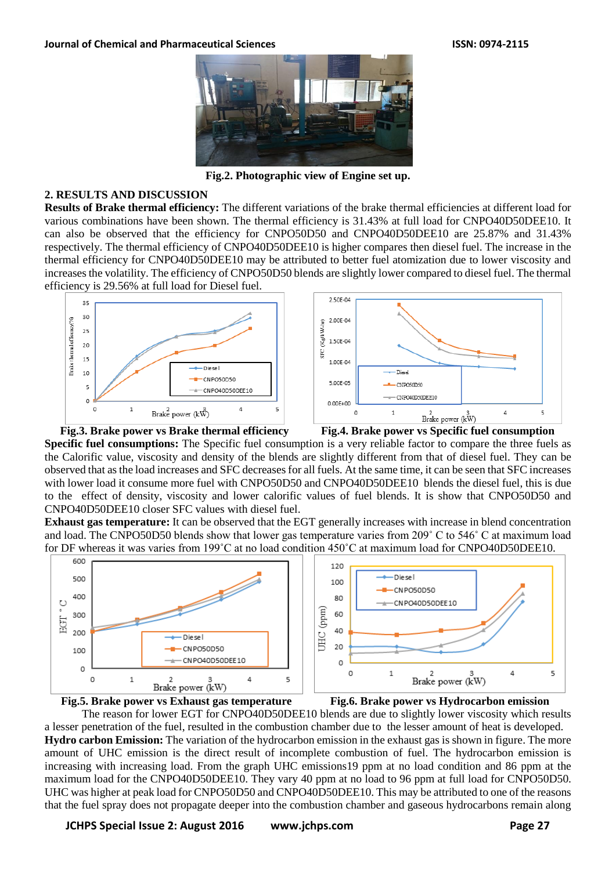

**Fig.2. Photographic view of Engine set up.**

#### **2. RESULTS AND DISCUSSION**

**Results of Brake thermal efficiency:** The different variations of the brake thermal efficiencies at different load for various combinations have been shown. The thermal efficiency is 31.43% at full load for CNPO40D50DEE10. It can also be observed that the efficiency for CNPO50D50 and CNPO40D50DEE10 are 25.87% and 31.43% respectively. The thermal efficiency of CNPO40D50DEE10 is higher compares then diesel fuel. The increase in the thermal efficiency for CNPO40D50DEE10 may be attributed to better fuel atomization due to lower viscosity and increases the volatility. The efficiency of CNPO50D50 blends are slightly lower compared to diesel fuel. The thermal efficiency is 29.56% at full load for Diesel fuel.





**Specific fuel consumptions:** The Specific fuel consumption is a very reliable factor to compare the three fuels as the Calorific value, viscosity and density of the blends are slightly different from that of diesel fuel. They can be observed that as the load increases and SFC decreases for all fuels. At the same time, it can be seen that SFC increases with lower load it consume more fuel with CNPO50D50 and CNPO40D50DEE10 blends the diesel fuel, this is due to the effect of density, viscosity and lower calorific values of fuel blends. It is show that CNPO50D50 and CNPO40D50DEE10 closer SFC values with diesel fuel.

**Exhaust gas temperature:** It can be observed that the EGT generally increases with increase in blend concentration and load. The CNPO50D50 blends show that lower gas temperature varies from 209˚ C to 546˚ C at maximum load for DF whereas it was varies from 199˚C at no load condition 450˚C at maximum load for CNPO40D50DEE10.







**Fig.5. Brake power vs Exhaust gas temperature Fig.6. Brake power vs Hydrocarbon emission**

The reason for lower EGT for CNPO40D50DEE10 blends are due to slightly lower viscosity which results a lesser penetration of the fuel, resulted in the combustion chamber due to the lesser amount of heat is developed. **Hydro carbon Emission:** The variation of the hydrocarbon emission in the exhaust gas is shown in figure. The more amount of UHC emission is the direct result of incomplete combustion of fuel. The hydrocarbon emission is increasing with increasing load. From the graph UHC emissions19 ppm at no load condition and 86 ppm at the maximum load for the CNPO40D50DEE10. They vary 40 ppm at no load to 96 ppm at full load for CNPO50D50. UHC was higher at peak load for CNPO50D50 and CNPO40D50DEE10. This may be attributed to one of the reasons that the fuel spray does not propagate deeper into the combustion chamber and gaseous hydrocarbons remain along

**JCHPS Special Issue 2: August 2016 www.jchps.com Page 27**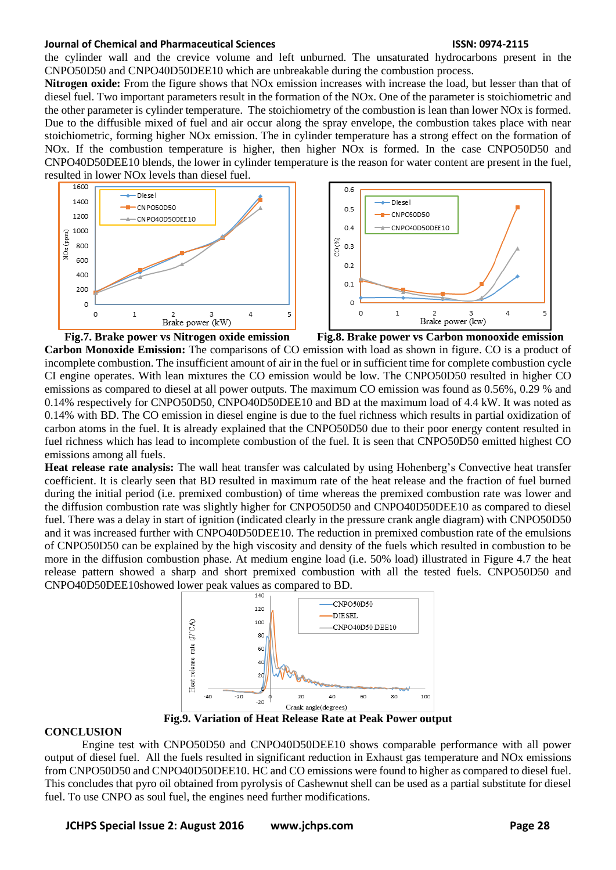#### **Journal of Chemical and Pharmaceutical Sciences ISSN: 0974-2115**

the cylinder wall and the crevice volume and left unburned. The unsaturated hydrocarbons present in the CNPO50D50 and CNPO40D50DEE10 which are unbreakable during the combustion process.

**Nitrogen oxide:** From the figure shows that NOx emission increases with increase the load, but lesser than that of diesel fuel. Two important parameters result in the formation of the NOx. One of the parameter is stoichiometric and the other parameter is cylinder temperature. The stoichiometry of the combustion is lean than lower NOx is formed. Due to the diffusible mixed of fuel and air occur along the spray envelope, the combustion takes place with near stoichiometric, forming higher NOx emission. The in cylinder temperature has a strong effect on the formation of NOx. If the combustion temperature is higher, then higher NOx is formed. In the case CNPO50D50 and CNPO40D50DEE10 blends, the lower in cylinder temperature is the reason for water content are present in the fuel,





**Fig.7. Brake power vs Nitrogen oxide emission Fig.8. Brake power vs Carbon monooxide emission Carbon Monoxide Emission:** The comparisons of CO emission with load as shown in figure. CO is a product of incomplete combustion. The insufficient amount of air in the fuel or in sufficient time for complete combustion cycle CI engine operates. With lean mixtures the CO emission would be low. The CNPO50D50 resulted in higher CO emissions as compared to diesel at all power outputs. The maximum CO emission was found as 0.56%, 0.29 % and 0.14% respectively for CNPO50D50, CNPO40D50DEE10 and BD at the maximum load of 4.4 kW. It was noted as 0.14% with BD. The CO emission in diesel engine is due to the fuel richness which results in partial oxidization of carbon atoms in the fuel. It is already explained that the CNPO50D50 due to their poor energy content resulted in

fuel richness which has lead to incomplete combustion of the fuel. It is seen that CNPO50D50 emitted highest CO emissions among all fuels. **Heat release rate analysis:** The wall heat transfer was calculated by using Hohenberg's Convective heat transfer coefficient. It is clearly seen that BD resulted in maximum rate of the heat release and the fraction of fuel burned during the initial period (i.e. premixed combustion) of time whereas the premixed combustion rate was lower and the diffusion combustion rate was slightly higher for CNPO50D50 and CNPO40D50DEE10 as compared to diesel fuel. There was a delay in start of ignition (indicated clearly in the pressure crank angle diagram) with CNPO50D50 and it was increased further with CNPO40D50DEE10. The reduction in premixed combustion rate of the emulsions

of CNPO50D50 can be explained by the high viscosity and density of the fuels which resulted in combustion to be more in the diffusion combustion phase. At medium engine load (i.e. 50% load) illustrated in Figure 4.7 the heat release pattern showed a sharp and short premixed combustion with all the tested fuels. CNPO50D50 and CNPO40D50DEE10showed lower peak values as compared to BD.



**Fig.9. Variation of Heat Release Rate at Peak Power output**

### **CONCLUSION**

Engine test with CNPO50D50 and CNPO40D50DEE10 shows comparable performance with all power output of diesel fuel. All the fuels resulted in significant reduction in Exhaust gas temperature and NOx emissions from CNPO50D50 and CNPO40D50DEE10. HC and CO emissions were found to higher as compared to diesel fuel. This concludes that pyro oil obtained from pyrolysis of Cashewnut shell can be used as a partial substitute for diesel fuel. To use CNPO as soul fuel, the engines need further modifications.